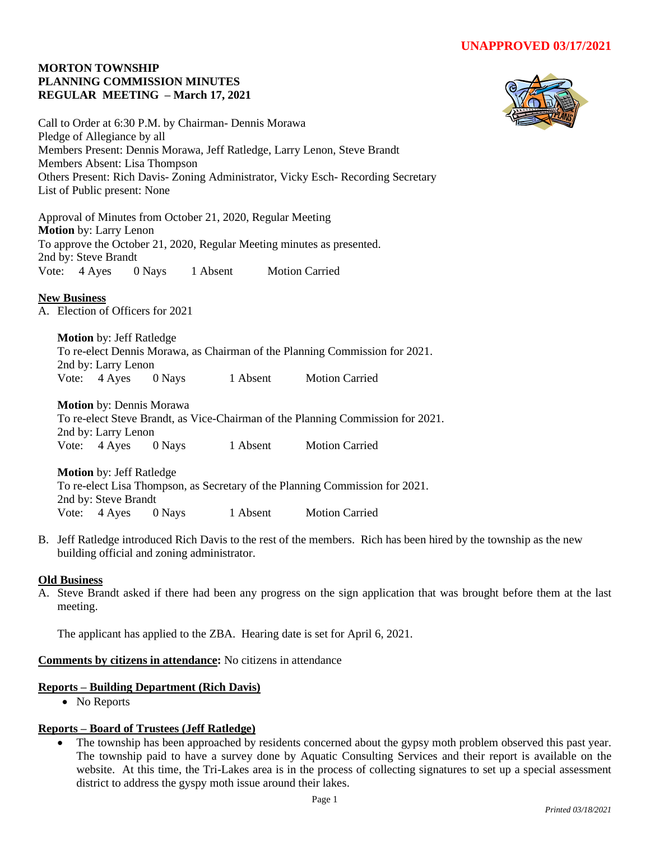### **MORTON TOWNSHIP PLANNING COMMISSION MINUTES REGULAR MEETING – March 17, 2021**



Call to Order at 6:30 P.M. by Chairman- Dennis Morawa Pledge of Allegiance by all Members Present: Dennis Morawa, Jeff Ratledge, Larry Lenon, Steve Brandt Members Absent: Lisa Thompson Others Present: Rich Davis- Zoning Administrator, Vicky Esch- Recording Secretary List of Public present: None

Approval of Minutes from October 21, 2020, Regular Meeting **Motion** by: Larry Lenon To approve the October 21, 2020, Regular Meeting minutes as presented. 2nd by: Steve Brandt Vote: 4 Ayes 0 Nays 1 Absent Motion Carried

# **New Business**

A. Election of Officers for 2021

**Motion** by: Jeff Ratledge To re-elect Dennis Morawa, as Chairman of the Planning Commission for 2021. 2nd by: Larry Lenon Vote: 4 Ayes 0 Nays 1 Absent Motion Carried

**Motion** by: Dennis Morawa To re-elect Steve Brandt, as Vice-Chairman of the Planning Commission for 2021. 2nd by: Larry Lenon Vote: 4 Ayes 0 Nays 1 Absent Motion Carried

**Motion** by: Jeff Ratledge To re-elect Lisa Thompson, as Secretary of the Planning Commission for 2021. 2nd by: Steve Brandt Vote: 4 Ayes 0 Nays 1 Absent Motion Carried

B. Jeff Ratledge introduced Rich Davis to the rest of the members. Rich has been hired by the township as the new building official and zoning administrator.

## **Old Business**

A. Steve Brandt asked if there had been any progress on the sign application that was brought before them at the last meeting.

The applicant has applied to the ZBA. Hearing date is set for April 6, 2021.

# **Comments by citizens in attendance:** No citizens in attendance

#### **Reports – Building Department (Rich Davis)**

• No Reports

## **Reports – Board of Trustees (Jeff Ratledge)**

• The township has been approached by residents concerned about the gypsy moth problem observed this past year. The township paid to have a survey done by Aquatic Consulting Services and their report is available on the website. At this time, the Tri-Lakes area is in the process of collecting signatures to set up a special assessment district to address the gyspy moth issue around their lakes.